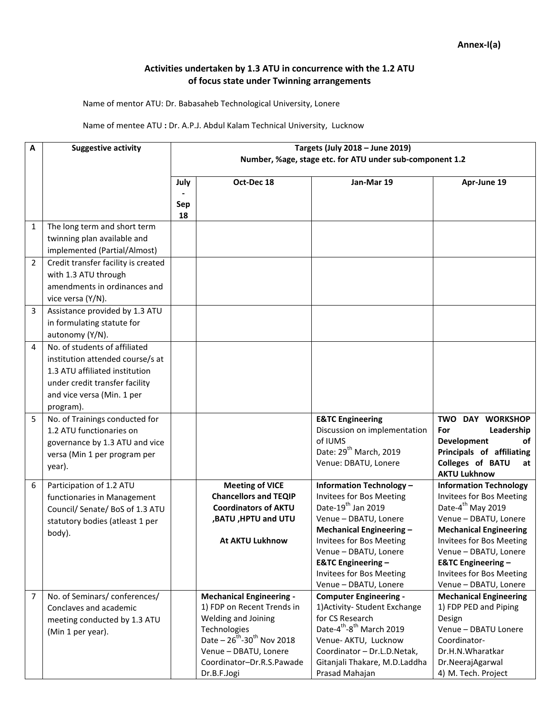## **Activities undertaken by 1.3 ATU in concurrence with the 1.2 ATU of focus state under Twinning arrangements**

Name of mentor ATU: Dr. Babasaheb Technological University, Lonere

## Name of mentee ATU **:** Dr. A.P.J. Abdul Kalam Technical University, Lucknow

| A              | <b>Suggestive activity</b>                                                                                                                                                       | Targets (July 2018 - June 2019)<br>Number, %age, stage etc. for ATU under sub-component 1.2 |                                                                                                                                                                                                                         |                                                                                                                                                                                                                                                                                                      |                                                                                                                                                                                                                                                                                                               |  |
|----------------|----------------------------------------------------------------------------------------------------------------------------------------------------------------------------------|---------------------------------------------------------------------------------------------|-------------------------------------------------------------------------------------------------------------------------------------------------------------------------------------------------------------------------|------------------------------------------------------------------------------------------------------------------------------------------------------------------------------------------------------------------------------------------------------------------------------------------------------|---------------------------------------------------------------------------------------------------------------------------------------------------------------------------------------------------------------------------------------------------------------------------------------------------------------|--|
|                |                                                                                                                                                                                  | July                                                                                        | Oct-Dec 18                                                                                                                                                                                                              | Jan-Mar 19                                                                                                                                                                                                                                                                                           | Apr-June 19                                                                                                                                                                                                                                                                                                   |  |
|                |                                                                                                                                                                                  | Sep<br>18                                                                                   |                                                                                                                                                                                                                         |                                                                                                                                                                                                                                                                                                      |                                                                                                                                                                                                                                                                                                               |  |
| 1              | The long term and short term<br>twinning plan available and                                                                                                                      |                                                                                             |                                                                                                                                                                                                                         |                                                                                                                                                                                                                                                                                                      |                                                                                                                                                                                                                                                                                                               |  |
|                | implemented (Partial/Almost)                                                                                                                                                     |                                                                                             |                                                                                                                                                                                                                         |                                                                                                                                                                                                                                                                                                      |                                                                                                                                                                                                                                                                                                               |  |
| $\overline{2}$ | Credit transfer facility is created<br>with 1.3 ATU through<br>amendments in ordinances and<br>vice versa (Y/N).                                                                 |                                                                                             |                                                                                                                                                                                                                         |                                                                                                                                                                                                                                                                                                      |                                                                                                                                                                                                                                                                                                               |  |
| 3              | Assistance provided by 1.3 ATU<br>in formulating statute for<br>autonomy (Y/N).                                                                                                  |                                                                                             |                                                                                                                                                                                                                         |                                                                                                                                                                                                                                                                                                      |                                                                                                                                                                                                                                                                                                               |  |
| 4              | No. of students of affiliated<br>institution attended course/s at<br>1.3 ATU affiliated institution<br>under credit transfer facility<br>and vice versa (Min. 1 per<br>program). |                                                                                             |                                                                                                                                                                                                                         |                                                                                                                                                                                                                                                                                                      |                                                                                                                                                                                                                                                                                                               |  |
| 5              | No. of Trainings conducted for<br>1.2 ATU functionaries on<br>governance by 1.3 ATU and vice<br>versa (Min 1 per program per<br>year).                                           |                                                                                             |                                                                                                                                                                                                                         | <b>E&amp;TC Engineering</b><br>Discussion on implementation<br>of IUMS<br>Date: 29 <sup>th</sup> March, 2019<br>Venue: DBATU, Lonere                                                                                                                                                                 | TWO DAY WORKSHOP<br>Leadership<br>For<br><b>Development</b><br>of<br>Principals of affiliating<br>Colleges of BATU<br>at<br><b>AKTU Lukhnow</b>                                                                                                                                                               |  |
| 6              | Participation of 1.2 ATU<br>functionaries in Management<br>Council/ Senate/ BoS of 1.3 ATU<br>statutory bodies (atleast 1 per<br>body).                                          |                                                                                             | <b>Meeting of VICE</b><br><b>Chancellors and TEQIP</b><br><b>Coordinators of AKTU</b><br>,BATU, HPTU and UTU<br><b>At AKTU Lukhnow</b>                                                                                  | <b>Information Technology -</b><br>Invitees for Bos Meeting<br>Date-19 <sup>th</sup> Jan 2019<br>Venue - DBATU, Lonere<br>Mechanical Engineering -<br><b>Invitees for Bos Meeting</b><br>Venue - DBATU, Lonere<br><b>E&amp;TC Engineering -</b><br>Invitees for Bos Meeting<br>Venue - DBATU, Lonere | <b>Information Technology</b><br><b>Invitees for Bos Meeting</b><br>Date-4 <sup>th</sup> May 2019<br>Venue - DBATU, Lonere<br><b>Mechanical Engineering</b><br>Invitees for Bos Meeting<br>Venue - DBATU, Lonere<br><b>E&amp;TC Engineering -</b><br><b>Invitees for Bos Meeting</b><br>Venue - DBATU, Lonere |  |
| 7              | No. of Seminars/conferences/<br>Conclaves and academic<br>meeting conducted by 1.3 ATU<br>(Min 1 per year).                                                                      |                                                                                             | <b>Mechanical Engineering -</b><br>1) FDP on Recent Trends in<br>Welding and Joining<br>Technologies<br>Date $-26^{th}$ -30 <sup>th</sup> Nov 2018<br>Venue - DBATU, Lonere<br>Coordinator-Dr.R.S.Pawade<br>Dr.B.F.Jogi | <b>Computer Engineering -</b><br>1) Activity- Student Exchange<br>for CS Research<br>Date-4 <sup>th</sup> -8 <sup>th</sup> March 2019<br>Venue- AKTU, Lucknow<br>Coordinator - Dr.L.D.Netak,<br>Gitanjali Thakare, M.D.Laddha<br>Prasad Mahajan                                                      | <b>Mechanical Engineering</b><br>1) FDP PED and Piping<br>Design<br>Venue - DBATU Lonere<br>Coordinator-<br>Dr.H.N.Wharatkar<br>Dr.NeerajAgarwal<br>4) M. Tech. Project                                                                                                                                       |  |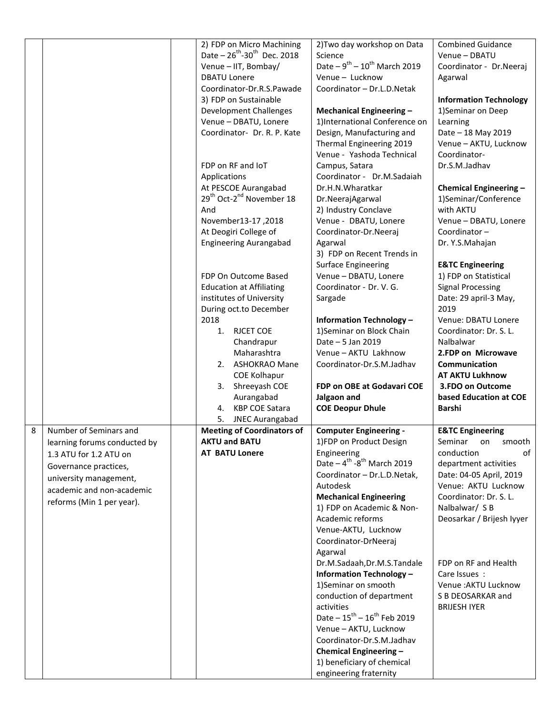|                              | 2) FDP on Micro Machining<br>Date $-26^{th}$ -30 <sup>th</sup> Dec. 2018 | 2) Two day workshop on Data<br>Science                           | <b>Combined Guidance</b><br>Venue - DBATU |
|------------------------------|--------------------------------------------------------------------------|------------------------------------------------------------------|-------------------------------------------|
|                              | Venue - IIT, Bombay/                                                     | Date – $9^{th}$ – $10^{th}$ March 2019                           | Coordinator - Dr.Neeraj                   |
|                              | <b>DBATU Lonere</b>                                                      | Venue - Lucknow                                                  | Agarwal                                   |
|                              | Coordinator-Dr.R.S.Pawade                                                | Coordinator - Dr.L.D.Netak                                       |                                           |
|                              | 3) FDP on Sustainable                                                    |                                                                  | <b>Information Technology</b>             |
|                              | <b>Development Challenges</b>                                            | Mechanical Engineering -                                         | 1)Seminar on Deep                         |
|                              | Venue - DBATU, Lonere                                                    | 1)International Conference on                                    | Learning                                  |
|                              | Coordinator- Dr. R. P. Kate                                              | Design, Manufacturing and                                        | Date - 18 May 2019                        |
|                              |                                                                          | Thermal Engineering 2019                                         | Venue - AKTU, Lucknow                     |
|                              |                                                                          | Venue - Yashoda Technical                                        | Coordinator-                              |
|                              | FDP on RF and IoT                                                        | Campus, Satara                                                   | Dr.S.M.Jadhav                             |
|                              | Applications                                                             | Coordinator - Dr.M.Sadaiah                                       |                                           |
|                              | At PESCOE Aurangabad                                                     | Dr.H.N.Wharatkar                                                 | <b>Chemical Engineering -</b>             |
|                              | 29 <sup>th</sup> Oct-2 <sup>nd</sup> November 18                         | Dr.NeerajAgarwal                                                 | 1)Seminar/Conference                      |
|                              | And                                                                      | 2) Industry Conclave                                             | with AKTU                                 |
|                              | November13-17, 2018                                                      |                                                                  | Venue - DBATU, Lonere                     |
|                              | At Deogiri College of                                                    | Venue - DBATU, Lonere                                            |                                           |
|                              |                                                                          | Coordinator-Dr.Neeraj                                            | Coordinator-                              |
|                              | <b>Engineering Aurangabad</b>                                            | Agarwal                                                          | Dr. Y.S.Mahajan                           |
|                              |                                                                          | 3) FDP on Recent Trends in                                       |                                           |
|                              |                                                                          | <b>Surface Engineering</b>                                       | <b>E&amp;TC Engineering</b>               |
|                              | FDP On Outcome Based                                                     | Venue - DBATU, Lonere                                            | 1) FDP on Statistical                     |
|                              | <b>Education at Affiliating</b>                                          | Coordinator - Dr. V. G.                                          | <b>Signal Processing</b>                  |
|                              | institutes of University                                                 | Sargade                                                          | Date: 29 april-3 May,                     |
|                              | During oct.to December                                                   |                                                                  | 2019                                      |
|                              | 2018                                                                     | <b>Information Technology -</b>                                  | Venue: DBATU Lonere                       |
|                              | <b>RJCET COE</b><br>1.                                                   | 1) Seminar on Block Chain                                        | Coordinator: Dr. S. L.                    |
|                              | Chandrapur                                                               | Date - 5 Jan 2019                                                | Nalbalwar                                 |
|                              | Maharashtra                                                              | Venue - AKTU Lakhnow                                             | 2.FDP on Microwave                        |
|                              | 2. ASHOKRAO Mane                                                         | Coordinator-Dr.S.M.Jadhav                                        | <b>Communication</b>                      |
|                              | <b>COE Kolhapur</b>                                                      |                                                                  | <b>AT AKTU Lukhnow</b>                    |
|                              | Shreeyash COE<br>3.                                                      | FDP on OBE at Godavari COE                                       | 3.FDO on Outcome                          |
|                              | Aurangabad                                                               | Jalgaon and                                                      | based Education at COE                    |
|                              | <b>KBP COE Satara</b><br>4.                                              | <b>COE Deopur Dhule</b>                                          | <b>Barshi</b>                             |
|                              | <b>JNEC Aurangabad</b><br>5.<br><b>Meeting of Coordinators of</b>        |                                                                  |                                           |
| Number of Seminars and<br>8  |                                                                          | <b>Computer Engineering -</b>                                    | <b>E&amp;TC Engineering</b>               |
| learning forums conducted by | <b>AKTU and BATU</b>                                                     | 1)FDP on Product Design                                          | Seminar<br>on<br>smooth                   |
| 1.3 ATU for 1.2 ATU on       | <b>AT BATU Lonere</b>                                                    | Engineering<br>Date $-4^{\text{th}}$ -8 <sup>th</sup> March 2019 | conduction<br>of<br>department activities |
| Governance practices,        |                                                                          | Coordinator - Dr.L.D.Netak,                                      | Date: 04-05 April, 2019                   |
| university management,       |                                                                          | Autodesk                                                         | Venue: AKTU Lucknow                       |
| academic and non-academic    |                                                                          | <b>Mechanical Engineering</b>                                    | Coordinator: Dr. S. L.                    |
| reforms (Min 1 per year).    |                                                                          | 1) FDP on Academic & Non-                                        | Nalbalwar/ S B                            |
|                              |                                                                          | Academic reforms                                                 | Deosarkar / Brijesh Iyyer                 |
|                              |                                                                          | Venue-AKTU, Lucknow                                              |                                           |
|                              |                                                                          | Coordinator-DrNeeraj                                             |                                           |
|                              |                                                                          | Agarwal                                                          |                                           |
|                              |                                                                          | Dr.M.Sadaah, Dr.M.S. Tandale                                     | FDP on RF and Health                      |
|                              |                                                                          | <b>Information Technology -</b>                                  | Care Issues:                              |
|                              |                                                                          | 1)Seminar on smooth                                              | Venue : AKTU Lucknow                      |
|                              |                                                                          | conduction of department                                         | S B DEOSARKAR and                         |
|                              |                                                                          | activities                                                       | <b>BRIJESH IYER</b>                       |
|                              |                                                                          | Date $-15^{th} - 16^{th}$ Feb 2019                               |                                           |
|                              |                                                                          | Venue - AKTU, Lucknow                                            |                                           |
|                              |                                                                          | Coordinator-Dr.S.M.Jadhav                                        |                                           |
|                              |                                                                          | Chemical Engineering -                                           |                                           |
|                              |                                                                          | 1) beneficiary of chemical                                       |                                           |
|                              |                                                                          | engineering fraternity                                           |                                           |